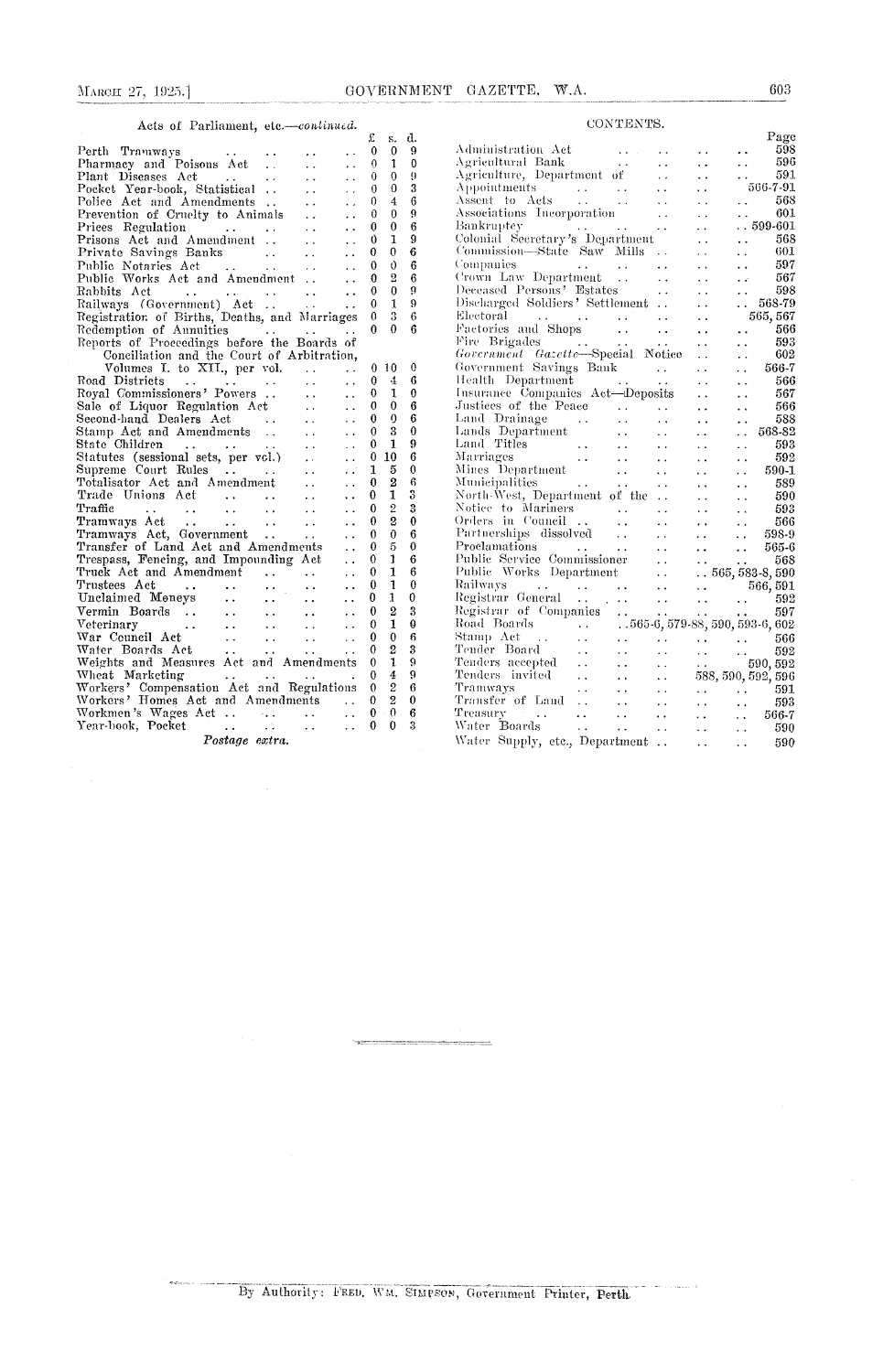## CONTENTS.

| Acts of Parliament, etc.-continued.                                                                                                                                                                                                                                                                                                                                                                                                       |          |                  |    |                                                                                                                                                                                                                                |
|-------------------------------------------------------------------------------------------------------------------------------------------------------------------------------------------------------------------------------------------------------------------------------------------------------------------------------------------------------------------------------------------------------------------------------------------|----------|------------------|----|--------------------------------------------------------------------------------------------------------------------------------------------------------------------------------------------------------------------------------|
|                                                                                                                                                                                                                                                                                                                                                                                                                                           | £        | s.               | d. |                                                                                                                                                                                                                                |
| Perth<br>Tramways<br>μ.<br>$\ddot{\phantom{0}}$<br>Plantage and Poisons Act<br>Plant Diseases Act<br>Plant Diseases Act<br>Pocket Year-book, Statistical<br>Police Act and Amendwert                                                                                                                                                                                                                                                      | 0        | 0                | 9  | А                                                                                                                                                                                                                              |
| $\ddot{\phantom{0}}$<br>$\ddot{\phantom{0}}$                                                                                                                                                                                                                                                                                                                                                                                              | 0        | 1                | 0  | Aş                                                                                                                                                                                                                             |
| $\sim$ $\sim$<br>$\ddot{\phantom{0}}$                                                                                                                                                                                                                                                                                                                                                                                                     | 0        | $\mathbf 0$      | 9  | Aş                                                                                                                                                                                                                             |
| . .<br>$\sim$                                                                                                                                                                                                                                                                                                                                                                                                                             | 0        | 0                | 3  | A                                                                                                                                                                                                                              |
| Police Act and Amendments<br>$\bullet$ $\bullet$<br>i.                                                                                                                                                                                                                                                                                                                                                                                    | 0        | $\overline{4}$   | 6  | А                                                                                                                                                                                                                              |
| Prevention of Cruelty to Animals<br>$\sim 10^7$<br>. .                                                                                                                                                                                                                                                                                                                                                                                    | 0        | 0                | 9  | A:                                                                                                                                                                                                                             |
| Prices Regulation<br>$\sim 100$ km s $^{-1}$<br>$\sim 100$ km s $^{-1}$<br>. .<br>$\sim$ $\sim$                                                                                                                                                                                                                                                                                                                                           | 0        | $\boldsymbol{0}$ | 6  | B:                                                                                                                                                                                                                             |
| Prisons Act and Amendment<br>$\ddot{\phantom{a}}$ .<br>. .                                                                                                                                                                                                                                                                                                                                                                                | 0        | 1                | 9  | Сc                                                                                                                                                                                                                             |
| Private Savings Banks<br>$\ddot{\phantom{0}}$<br>$\ddot{\phantom{a}}$                                                                                                                                                                                                                                                                                                                                                                     | 0        | 0                | 6  | Сę                                                                                                                                                                                                                             |
| Public Notaries Act<br>$\mathcal{L}(\mathbf{X},\mathbf{X})$ and $\mathcal{L}(\mathbf{X},\mathbf{X})$<br>$\ddot{\phantom{0}}$<br>$\sim 10^{-1}$                                                                                                                                                                                                                                                                                            | 0        | $\theta$         | 6  | Cс                                                                                                                                                                                                                             |
| Public Works Act and Amendment<br>$\ddot{\phantom{0}}$                                                                                                                                                                                                                                                                                                                                                                                    | 0        | 2                | 6  | C)                                                                                                                                                                                                                             |
| Rabbits Act<br><b>Contract Contract</b><br>$\sim$ $\sim$<br>$\ddot{\phantom{a}}$                                                                                                                                                                                                                                                                                                                                                          | 0        | $\Omega$         | 9  | D,                                                                                                                                                                                                                             |
| $\frac{1}{\sqrt{2}}\frac{1}{\sqrt{2}}\frac{1}{\sqrt{2}}$<br>Railways (Government) Act<br>$\ddot{\phantom{0}}$                                                                                                                                                                                                                                                                                                                             | 0        | 1                | 9  | Di                                                                                                                                                                                                                             |
| Registration of Births, Deaths, and Marriages                                                                                                                                                                                                                                                                                                                                                                                             | $\theta$ | 3                | 6  | Е                                                                                                                                                                                                                              |
| Redemption of Annuities<br><b>Contractor</b>                                                                                                                                                                                                                                                                                                                                                                                              | 0        | 0                | 6  | F,                                                                                                                                                                                                                             |
| Reports of Proceedings before the Boards of                                                                                                                                                                                                                                                                                                                                                                                               |          |                  |    | Fi                                                                                                                                                                                                                             |
| Conciliation and the Court of Arbitration,                                                                                                                                                                                                                                                                                                                                                                                                |          |                  |    | G)                                                                                                                                                                                                                             |
| Volumes I. to XII., per vol.<br>$\ddot{\phantom{0}}$<br>$\ddot{\phantom{0}}$                                                                                                                                                                                                                                                                                                                                                              | 0        | 10               | 0  | $G_{0}$                                                                                                                                                                                                                        |
| Road Districts<br>$\ddot{\phantom{a}}$<br>$\ddot{\phantom{a}}$<br>$\sim$ $\sim$<br>$\sim 100$ km s $^{-1}$<br>$\sim$ $\sim$                                                                                                                                                                                                                                                                                                               | 0        | 4                | 6  | Ħ                                                                                                                                                                                                                              |
| Royal Commissioners' Powers<br>$\ddot{\phantom{a}}$ .<br>. .                                                                                                                                                                                                                                                                                                                                                                              | 0        | 1                | 0  | Γn                                                                                                                                                                                                                             |
| Sale of Liquor Regulation Act<br>$\mathcal{L}(\mathcal{A})$ .<br>$\ddot{\phantom{0}}$                                                                                                                                                                                                                                                                                                                                                     | 0        | 0                | 6  | Jτ                                                                                                                                                                                                                             |
| $\sim 10^{-1}$<br>$\ddot{\phantom{0}}$                                                                                                                                                                                                                                                                                                                                                                                                    | 0        | ŋ                | 6  | Li                                                                                                                                                                                                                             |
| Second-hand Dealers Act<br>Stamp Act and Amendments<br><b>Contract</b><br>$\ddot{\phantom{0}}$                                                                                                                                                                                                                                                                                                                                            | 0        | 3                | 0  | Lι                                                                                                                                                                                                                             |
| State Children<br>$\ddot{\phantom{0}}$                                                                                                                                                                                                                                                                                                                                                                                                    | 0        | 1                | 9  | Ēа                                                                                                                                                                                                                             |
| $\frac{1}{2}$<br>Statutes (sessional sets, per vol.)<br>$\ddot{\phantom{0}}$                                                                                                                                                                                                                                                                                                                                                              | 0        | 10               | 6  | M                                                                                                                                                                                                                              |
| Supreme Court Rules<br>$\epsilon$ .<br>$\sim$ $\sim$                                                                                                                                                                                                                                                                                                                                                                                      | 1        | 5                | 0  | М                                                                                                                                                                                                                              |
| Totalisator Act and Amendment<br>$\ddot{\phantom{a}}$<br>$\ddot{\phantom{0}}$                                                                                                                                                                                                                                                                                                                                                             | 0        | 2                | 6  | М                                                                                                                                                                                                                              |
| Trade Unions Act<br>$\ddot{\phantom{0}}$<br>. .                                                                                                                                                                                                                                                                                                                                                                                           | 0        | 1                | 3  | N,                                                                                                                                                                                                                             |
| $\mathcal{L}(\mathbf{A},\mathbf{A})$ and $\mathcal{L}(\mathbf{A},\mathbf{A})$<br>Traffic<br>$\sim 100$<br>$\sim$ .                                                                                                                                                                                                                                                                                                                        | 0        | $\mathbf{2}$     | 3  | N                                                                                                                                                                                                                              |
| $\sim 100$ km $^{-1}$<br>$\ddotsc$<br>$\ddot{\phantom{0}}$<br>$\sim 10^{-1}$                                                                                                                                                                                                                                                                                                                                                              | 0        | 2                | 0  | Oı                                                                                                                                                                                                                             |
| $\sim$<br>$\ddot{\phantom{0}}$                                                                                                                                                                                                                                                                                                                                                                                                            | 0        | 0                | 6  | $\mathbf{P}_{t}$                                                                                                                                                                                                               |
| $\sim 100$<br>$\ddot{\phantom{1}}$<br>Transfer of Land Act and Amendments                                                                                                                                                                                                                                                                                                                                                                 | 0        | 5                | 0  | Pı                                                                                                                                                                                                                             |
| $\ddot{\phantom{0}}$                                                                                                                                                                                                                                                                                                                                                                                                                      | 0        | 1                | 6  | Ρı                                                                                                                                                                                                                             |
| Trespass, Fencing, and Impounding Act<br>. .                                                                                                                                                                                                                                                                                                                                                                                              | 0        | 1                | 6  | Pι                                                                                                                                                                                                                             |
| Truck Act and Amendment<br>$\mathcal{L}^{\text{max}}_{\text{max}}$<br>$\ddot{\phantom{0}}$                                                                                                                                                                                                                                                                                                                                                | 0        | $\mathbf{1}$     | 0  | R                                                                                                                                                                                                                              |
| Trustees Act<br>$\sim 10^{-1}$<br>and the contract of the con-<br>$\ddot{\phantom{a}}$<br>. .                                                                                                                                                                                                                                                                                                                                             |          | 1                | 0  | $\mathbf{R}$                                                                                                                                                                                                                   |
| $\mathcal{F}^{\text{c}}_{\text{c}}$ and<br>Unclaimed Moneys<br>$\ddotsc$<br>$\ddot{\phantom{0}}$<br>$\ddot{\phantom{0}}$                                                                                                                                                                                                                                                                                                                  | 0        |                  |    |                                                                                                                                                                                                                                |
| Vermin Boards<br>$\langle \cdot \rangle$<br>$\sim 10^{-1}$<br>$\ddot{\phantom{0}}$<br>$\ddot{\phantom{0}}$                                                                                                                                                                                                                                                                                                                                | 0        | $\overline{2}$   | 3  | Rc                                                                                                                                                                                                                             |
| Veterinary<br>$\sim 10^{-1}$<br>$\sim$ $\sim$<br>. .<br>$\ddot{\phantom{0}}$<br>$\bullet$ $\bullet$ .                                                                                                                                                                                                                                                                                                                                     | 0        | 1                | 0  | $\mathbf{R}$                                                                                                                                                                                                                   |
| War Council Act<br>$\frac{1}{2} \frac{1}{2} \frac{1}{2}$ .<br>$\sim 10^{-1}$<br>$\ddotsc$<br>$\ddot{\phantom{0}}$                                                                                                                                                                                                                                                                                                                         | 0        | 0                | 6  | $^{\rm St}$                                                                                                                                                                                                                    |
| Water Boards Act<br>$\gamma \rightarrow \infty$<br>$\ddot{\phantom{0}}$<br>$\ddot{\phantom{a}}$                                                                                                                                                                                                                                                                                                                                           | 0        | 2                | 3  | Тt                                                                                                                                                                                                                             |
| Weights and Measures Act and Amendments                                                                                                                                                                                                                                                                                                                                                                                                   | 0        | $\mathbf{1}$     | 9  | To                                                                                                                                                                                                                             |
| Wheat Marketing<br>$\mathbf{1} \mathbf{1} \mathbf{1} \mathbf{1} \mathbf{1} \mathbf{1} \mathbf{1} \mathbf{1} \mathbf{1} \mathbf{1} \mathbf{1} \mathbf{1} \mathbf{1} \mathbf{1} \mathbf{1} \mathbf{1} \mathbf{1} \mathbf{1} \mathbf{1} \mathbf{1} \mathbf{1} \mathbf{1} \mathbf{1} \mathbf{1} \mathbf{1} \mathbf{1} \mathbf{1} \mathbf{1} \mathbf{1} \mathbf{1} \mathbf{1} \mathbf{1} \mathbf{1} \mathbf{1} \mathbf{1} \mathbf{1} \mathbf{$ | 0        | 4                | 9  | To the control of the control of the control of the control of the control of the control of the control of the control of the control of the control of the control of the control of the control of the control of the contr |
| Workers' Compensation Act and Regulations                                                                                                                                                                                                                                                                                                                                                                                                 | 0        | $\overline{2}$   | 6  | Tı                                                                                                                                                                                                                             |
| Workers' Homes Act and Amendments                                                                                                                                                                                                                                                                                                                                                                                                         | 0        | $\overline{2}$   | 0  | T)                                                                                                                                                                                                                             |
| <b>College</b><br>$\ddot{\phantom{0}}$                                                                                                                                                                                                                                                                                                                                                                                                    | 0        | $\cdot$ 0        | 6  | Tı                                                                                                                                                                                                                             |
| Year-book, Pocket<br>$\mathcal{L}_{\mathcal{A}}$ , and $\mathcal{L}_{\mathcal{A}}$ , and<br>$\ddot{\phantom{0}}$<br>$\ddot{\phantom{0}}$                                                                                                                                                                                                                                                                                                  | 0        | 0                | 3  | W                                                                                                                                                                                                                              |
| Postage extra.                                                                                                                                                                                                                                                                                                                                                                                                                            |          |                  |    | W                                                                                                                                                                                                                              |

| つい エロハエい                                                                                                       |                      |     |                                                                                                                              |
|----------------------------------------------------------------------------------------------------------------|----------------------|-----|------------------------------------------------------------------------------------------------------------------------------|
|                                                                                                                |                      |     | Page                                                                                                                         |
| Administration Act                                                                                             |                      |     | 598                                                                                                                          |
| Agricultural Bank<br>$\sim$ $\sim$                                                                             |                      | . . | 596                                                                                                                          |
| Agriculture, Department of                                                                                     |                      | . . | 591                                                                                                                          |
| Appointments<br>Appointments<br>Assent to Acts                                                                 |                      |     | 566-7-91                                                                                                                     |
| $\sim$ .                                                                                                       |                      |     | 568                                                                                                                          |
| Associations Incorporation                                                                                     | . .                  |     | 601                                                                                                                          |
| Bankruptey                                                                                                     | . .                  |     | $\dots 599$ -601                                                                                                             |
| Bankruptcy<br>Colonial Secretary's Department                                                                  |                      |     | 568                                                                                                                          |
| Commission-State Saw Mills                                                                                     |                      |     | 601                                                                                                                          |
| Companies                                                                                                      |                      |     | 597                                                                                                                          |
| Companies<br>Crown Law Department                                                                              |                      |     | 567                                                                                                                          |
| Deceased Persons' Estates                                                                                      | . .                  |     | 598                                                                                                                          |
| Discharged Soldiers' Settlement                                                                                |                      |     | $. 568-79$                                                                                                                   |
|                                                                                                                | . .                  |     | 565,567                                                                                                                      |
| Electoral $\ldots$ $\ldots$<br>Factories and Shops                                                             |                      |     |                                                                                                                              |
| $\ddot{\phantom{a}}$                                                                                           |                      |     | 566<br>$\ddot{\phantom{0}}$                                                                                                  |
| Fire Brigades<br>$\mathcal{L}$ , $\mathcal{L}$ , $\mathcal{L}$ , $\mathcal{L}$ , $\mathcal{L}$ , $\mathcal{L}$ | $\ddot{\phantom{0}}$ |     | 593<br>. .                                                                                                                   |
| Government Gazette-Special Notice                                                                              |                      |     | 602                                                                                                                          |
| Government Savings Bank                                                                                        |                      |     | 566-7                                                                                                                        |
|                                                                                                                |                      |     | 566                                                                                                                          |
| Government Savings Bank<br>Health Department<br>Insurance Companies Act—Deposits                               |                      |     | 567                                                                                                                          |
| Justices of the Peace                                                                                          |                      |     | 566                                                                                                                          |
| Land Drainage                                                                                                  |                      |     | 588                                                                                                                          |
| Land Drainage<br>Lands Department                                                                              |                      |     | 568-82                                                                                                                       |
| Land Titles<br>Marriages<br>Mines Department<br>Municipalities<br>North West, Department of the                |                      |     | 593                                                                                                                          |
|                                                                                                                |                      |     | 592                                                                                                                          |
|                                                                                                                |                      |     | 590-1                                                                                                                        |
|                                                                                                                | . .                  |     | 589                                                                                                                          |
|                                                                                                                | $\ddot{\phantom{0}}$ |     | 590                                                                                                                          |
| Notice to Mariners<br>Orders in Council                                                                        | . .                  |     | 593                                                                                                                          |
| $\sim$ $\sim$                                                                                                  | . .                  |     | 566                                                                                                                          |
| Partnerships dissolved<br>$\sim$ $\sim$                                                                        |                      |     | 598-9                                                                                                                        |
| Proclamations                                                                                                  |                      |     | 565-6                                                                                                                        |
| Public Service Commissioner                                                                                    | И,                   |     | 568                                                                                                                          |
| Public Works Department                                                                                        |                      |     | ò.<br>$.565,583-8,590$                                                                                                       |
|                                                                                                                | μ.                   |     |                                                                                                                              |
| Railways<br>Registrar General                                                                                  | $\ddot{\phantom{0}}$ |     |                                                                                                                              |
|                                                                                                                | . .                  |     |                                                                                                                              |
| Registrar of Companies<br>Road Boards   565                                                                    |                      |     |                                                                                                                              |
| $\sim 100$ km $^{-1}$                                                                                          |                      |     |                                                                                                                              |
| Stamp Act<br>$\ddot{\phantom{0}}$<br>r<br>Stor                                                                 |                      |     | $\begin{array}{ccc} \cdot & \cdot & \cdot & 566 \ \cdot & \cdot & \cdot & 592 \ \cdot & \cdot & \cdot & 590,592 \end{array}$ |
| Tender Board                                                                                                   |                      |     |                                                                                                                              |
| Tenders accepted<br>Tenders invited                                                                            |                      |     |                                                                                                                              |
|                                                                                                                | . .                  |     | 588, 590, 592, 596                                                                                                           |
| Tramways<br>$\ddot{\phantom{a}}$                                                                               |                      |     | 591                                                                                                                          |
| Transfer of Land                                                                                               | L.                   |     | $\begin{matrix} \cdot & \cdot & \cdot \\ \cdot & \cdot & \cdot \\ \cdot & \cdot & 5 \end{matrix}$<br>593                     |
| Treasury<br>$\ddot{\phantom{0}}$                                                                               |                      |     | 566-7                                                                                                                        |
| Water Boards<br>v.<br>$\sim$ $\sim$ $\star$                                                                    | $\ddot{\phantom{1}}$ |     | 590<br>$\ddot{\phantom{0}}$                                                                                                  |
| Water Supply, etc., Department                                                                                 |                      | . . | 590<br>$\ddot{\phantom{0}}$                                                                                                  |
|                                                                                                                |                      |     |                                                                                                                              |

By Authority: FRED, WM. SIMPSON, Government Printer, Perth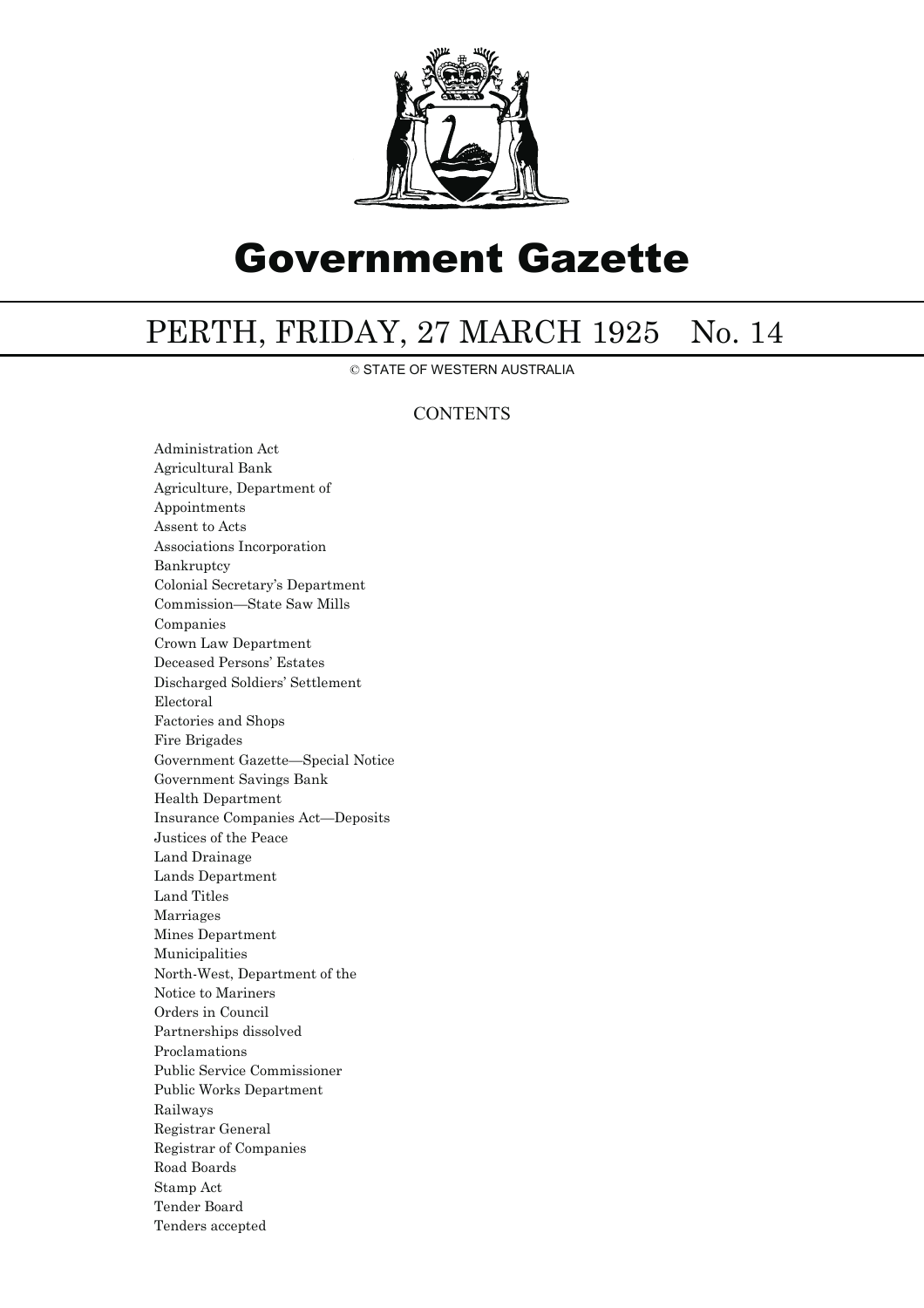

## Government Gazette

## PERTH, FRIDAY, 27 MARCH 1925 No. 14

© STATE OF WESTERN AUSTRALIA

## **CONTENTS**

Administration Act Agricultural Bank Agriculture, Department of Appointments Assent to Acts Associations Incorporation Bankruptcy Colonial Secretary's Department Commission—State Saw Mills Companies Crown Law Department Deceased Persons' Estates Discharged Soldiers' Settlement Electoral Factories and Shops Fire Brigades Government Gazette—Special Notice Government Savings Bank Health Department Insurance Companies Act—Deposits Justices of the Peace Land Drainage Lands Department Land Titles Marriages Mines Department Municipalities North-West, Department of the Notice to Mariners Orders in Council Partnerships dissolved Proclamations Public Service Commissioner Public Works Department Railways Registrar General Registrar of Companies Road Boards Stamp Act Tender Board Tenders accepted